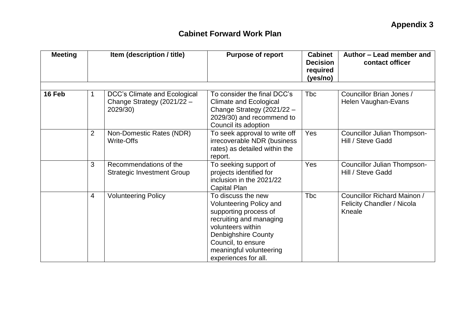| <b>Meeting</b> | Item (description / title) |                                                                        | <b>Purpose of report</b>                                                                                                                                                                                                             | <b>Cabinet</b><br><b>Decision</b><br>required<br>(yes/no) | Author – Lead member and<br>contact officer                         |  |
|----------------|----------------------------|------------------------------------------------------------------------|--------------------------------------------------------------------------------------------------------------------------------------------------------------------------------------------------------------------------------------|-----------------------------------------------------------|---------------------------------------------------------------------|--|
|                |                            |                                                                        |                                                                                                                                                                                                                                      |                                                           |                                                                     |  |
| 16 Feb         |                            | DCC's Climate and Ecological<br>Change Strategy (2021/22 -<br>2029/30) | To consider the final DCC's<br><b>Climate and Ecological</b><br>Change Strategy (2021/22 -<br>2029/30) and recommend to<br>Council its adoption                                                                                      | <b>Tbc</b>                                                | Councillor Brian Jones /<br>Helen Vaughan-Evans                     |  |
|                | 2                          | Non-Domestic Rates (NDR)<br><b>Write-Offs</b>                          | To seek approval to write off<br>irrecoverable NDR (business<br>rates) as detailed within the<br>report.                                                                                                                             | Yes                                                       | Councillor Julian Thompson-<br>Hill / Steve Gadd                    |  |
|                | 3                          | Recommendations of the<br><b>Strategic Investment Group</b>            | To seeking support of<br>projects identified for<br>inclusion in the 2021/22<br>Capital Plan                                                                                                                                         | Yes                                                       | <b>Councillor Julian Thompson-</b><br>Hill / Steve Gadd             |  |
|                | $\overline{4}$             | <b>Volunteering Policy</b>                                             | To discuss the new<br><b>Volunteering Policy and</b><br>supporting process of<br>recruiting and managing<br>volunteers within<br><b>Denbighshire County</b><br>Council, to ensure<br>meaningful volunteering<br>experiences for all. | <b>Tbc</b>                                                | Councillor Richard Mainon /<br>Felicity Chandler / Nicola<br>Kneale |  |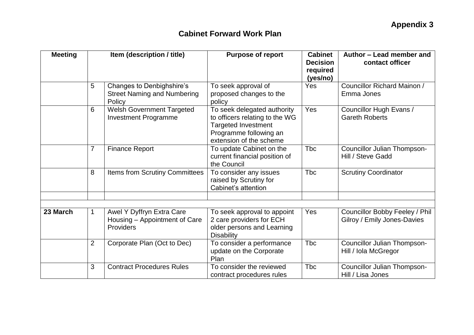| <b>Meeting</b> |                | Item (description / title)                                                | <b>Purpose of report</b>                                                                                                                         | <b>Cabinet</b><br><b>Decision</b><br>required<br>(yes/no) | Author - Lead member and<br>contact officer                   |  |
|----------------|----------------|---------------------------------------------------------------------------|--------------------------------------------------------------------------------------------------------------------------------------------------|-----------------------------------------------------------|---------------------------------------------------------------|--|
|                | 5              | Changes to Denbighshire's<br><b>Street Naming and Numbering</b><br>Policy | To seek approval of<br>proposed changes to the<br>policy                                                                                         | Yes                                                       | Councillor Richard Mainon /<br>Emma Jones                     |  |
|                | 6              | <b>Welsh Government Targeted</b><br><b>Investment Programme</b>           | To seek delegated authority<br>to officers relating to the WG<br><b>Targeted Investment</b><br>Programme following an<br>extension of the scheme | Yes                                                       | Councillor Hugh Evans /<br><b>Gareth Roberts</b>              |  |
|                | $\overline{7}$ | <b>Finance Report</b>                                                     | To update Cabinet on the<br>current financial position of<br>the Council                                                                         | <b>Tbc</b>                                                | Councillor Julian Thompson-<br>Hill / Steve Gadd              |  |
|                | 8              | Items from Scrutiny Committees                                            | To consider any issues<br>raised by Scrutiny for<br>Cabinet's attention                                                                          | <b>Tbc</b>                                                | <b>Scrutiny Coordinator</b>                                   |  |
|                |                |                                                                           |                                                                                                                                                  |                                                           |                                                               |  |
| 23 March       | 1              | Awel Y Dyffryn Extra Care<br>Housing - Appointment of Care<br>Providers   | To seek approval to appoint<br>2 care providers for ECH<br>older persons and Learning<br><b>Disability</b>                                       | Yes                                                       | Councillor Bobby Feeley / Phil<br>Gilroy / Emily Jones-Davies |  |
|                | $\overline{2}$ | Corporate Plan (Oct to Dec)                                               | To consider a performance<br>update on the Corporate<br>Plan                                                                                     | <b>Tbc</b>                                                | Councillor Julian Thompson-<br>Hill / Iola McGregor           |  |
|                | 3              | <b>Contract Procedures Rules</b>                                          | To consider the reviewed<br>contract procedures rules                                                                                            | <b>Tbc</b>                                                | Councillor Julian Thompson-<br>Hill / Lisa Jones              |  |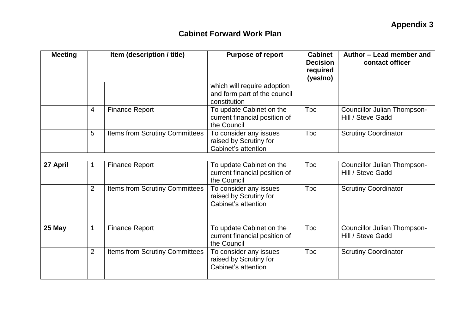| <b>Meeting</b> | Item (description / title) |                                | <b>Purpose of report</b>                                                    | <b>Cabinet</b><br><b>Decision</b><br>required<br>(yes/no) | Author - Lead member and<br>contact officer             |
|----------------|----------------------------|--------------------------------|-----------------------------------------------------------------------------|-----------------------------------------------------------|---------------------------------------------------------|
|                |                            |                                | which will require adoption<br>and form part of the council<br>constitution |                                                           |                                                         |
|                | $\overline{4}$             | <b>Finance Report</b>          | To update Cabinet on the<br>current financial position of<br>the Council    | <b>Tbc</b>                                                | Councillor Julian Thompson-<br>Hill / Steve Gadd        |
|                | 5                          | Items from Scrutiny Committees | To consider any issues<br>raised by Scrutiny for<br>Cabinet's attention     | <b>T</b> bc                                               | <b>Scrutiny Coordinator</b>                             |
|                |                            |                                |                                                                             |                                                           |                                                         |
| 27 April       | $\mathbf{1}$               | <b>Finance Report</b>          | To update Cabinet on the<br>current financial position of<br>the Council    | <b>T</b> bc                                               | Councillor Julian Thompson-<br>Hill / Steve Gadd        |
|                | $\overline{2}$             | Items from Scrutiny Committees | To consider any issues<br>raised by Scrutiny for<br>Cabinet's attention     | <b>T</b> bc                                               | <b>Scrutiny Coordinator</b>                             |
|                |                            |                                |                                                                             |                                                           |                                                         |
|                |                            |                                |                                                                             |                                                           |                                                         |
| 25 May         | $\mathbf{1}$               | <b>Finance Report</b>          | To update Cabinet on the<br>current financial position of<br>the Council    | <b>T</b> bc                                               | <b>Councillor Julian Thompson-</b><br>Hill / Steve Gadd |
|                | 2                          | Items from Scrutiny Committees | To consider any issues<br>raised by Scrutiny for<br>Cabinet's attention     | <b>T</b> bc                                               | <b>Scrutiny Coordinator</b>                             |
|                |                            |                                |                                                                             |                                                           |                                                         |